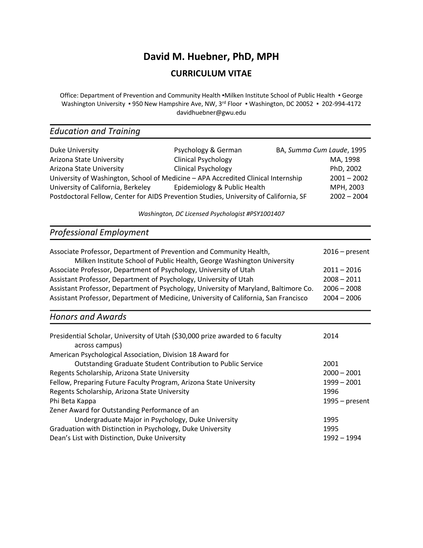## **David M. Huebner, PhD, MPH**

## **CURRICULUM VITAE**

Office: Department of Prevention and Community Health •Milken Institute School of Public Health • George Washington University • 950 New Hampshire Ave, NW, 3<sup>rd</sup> Floor • Washington, DC 20052 • 202-994-4172 davidhuebner@gwu.edu

# *Education and Training*

| Psychology & German        |                                    | BA, Summa Cum Laude, 1995                                                                                                                                                                                  |
|----------------------------|------------------------------------|------------------------------------------------------------------------------------------------------------------------------------------------------------------------------------------------------------|
| <b>Clinical Psychology</b> |                                    | MA, 1998                                                                                                                                                                                                   |
| <b>Clinical Psychology</b> |                                    | PhD, 2002                                                                                                                                                                                                  |
|                            |                                    | $2001 - 2002$                                                                                                                                                                                              |
|                            |                                    | MPH, 2003                                                                                                                                                                                                  |
|                            |                                    | $2002 - 2004$                                                                                                                                                                                              |
|                            | University of California, Berkeley | University of Washington, School of Medicine - APA Accredited Clinical Internship<br>Epidemiology & Public Health<br>Postdoctoral Fellow, Center for AIDS Prevention Studies, University of California, SF |

*Washington, DC Licensed Psychologist #PSY1001407*

## *Professional Employment*

| Associate Professor, Department of Prevention and Community Health,<br>Milken Institute School of Public Health, George Washington University | $2016$ – present |
|-----------------------------------------------------------------------------------------------------------------------------------------------|------------------|
| Associate Professor, Department of Psychology, University of Utah                                                                             | $2011 - 2016$    |
| Assistant Professor, Department of Psychology, University of Utah                                                                             | $2008 - 2011$    |
| Assistant Professor, Department of Psychology, University of Maryland, Baltimore Co.                                                          | $2006 - 2008$    |
| Assistant Professor, Department of Medicine, University of California, San Francisco                                                          | $2004 - 2006$    |
| <b>Honors and Awards</b>                                                                                                                      |                  |
| Presidential Scholar, University of Utah (\$30,000 prize awarded to 6 faculty                                                                 | 2014             |

| Presidential Scholar, University Of Otali (330,000 prize awarded to 6 faculty | 2014             |
|-------------------------------------------------------------------------------|------------------|
| across campus)                                                                |                  |
| American Psychological Association, Division 18 Award for                     |                  |
| Outstanding Graduate Student Contribution to Public Service                   | 2001             |
| Regents Scholarship, Arizona State University                                 | $2000 - 2001$    |
| Fellow, Preparing Future Faculty Program, Arizona State University            | $1999 - 2001$    |
| Regents Scholarship, Arizona State University                                 | 1996             |
| Phi Beta Kappa                                                                | $1995 - present$ |
| Zener Award for Outstanding Performance of an                                 |                  |
| Undergraduate Major in Psychology, Duke University                            | 1995             |
| Graduation with Distinction in Psychology, Duke University                    | 1995             |
| Dean's List with Distinction, Duke University                                 | 1992 - 1994      |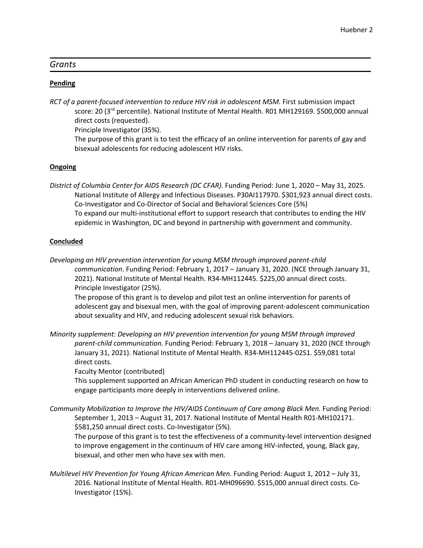#### *Grants*

#### **Pending**

*RCT of a parent-focused intervention to reduce HIV risk in adolescent MSM.* First submission impact score: 20 (3<sup>rd</sup> percentile). National Institute of Mental Health. R01 MH129169. \$500,000 annual direct costs (requested).

Principle Investigator (35%).

The purpose of this grant is to test the efficacy of an online intervention for parents of gay and bisexual adolescents for reducing adolescent HIV risks.

#### **Ongoing**

*District of Columbia Center for AIDS Research (DC CFAR).* Funding Period: June 1, 2020 – May 31, 2025. National Institute of Allergy and Infectious Diseases. P30AI117970. \$301,923 annual direct costs. Co-Investigator and Co-Director of Social and Behavioral Sciences Core (5%) To expand our multi-institutional effort to support research that contributes to ending the HIV epidemic in Washington, DC and beyond in partnership with government and community.

#### **Concluded**

*Developing an HIV prevention intervention for young MSM through improved parent-child* 

*communication*. Funding Period: February 1, 2017 – January 31, 2020. (NCE through January 31, 2021). National Institute of Mental Health. R34-MH112445. \$225,00 annual direct costs. Principle Investigator (25%).

The propose of this grant is to develop and pilot test an online intervention for parents of adolescent gay and bisexual men, with the goal of improving parent-adolescent communication about sexuality and HIV, and reducing adolescent sexual risk behaviors.

*Minority supplement: Developing an HIV prevention intervention for young MSM through improved parent-child communication.* Funding Period: February 1, 2018 – January 31, 2020 (NCE through January 31, 2021). National Institute of Mental Health. R34-MH112445-02S1. \$59,081 total direct costs.

Faculty Mentor (contributed)

This supplement supported an African American PhD student in conducting research on how to engage participants more deeply in interventions delivered online.

*Community Mobilization to Improve the HIV/AIDS Continuum of Care among Black Men.* Funding Period: September 1, 2013 – August 31, 2017. National Institute of Mental Health R01-MH102171. \$581,250 annual direct costs. Co-Investigator (5%).

The purpose of this grant is to test the effectiveness of a community-level intervention designed to improve engagement in the continuum of HIV care among HIV-infected, young, Black gay, bisexual, and other men who have sex with men.

*Multilevel HIV Prevention for Young African American Men.* Funding Period: August 1, 2012 – July 31, 2016. National Institute of Mental Health. R01-MH096690. \$515,000 annual direct costs. Co-Investigator (15%).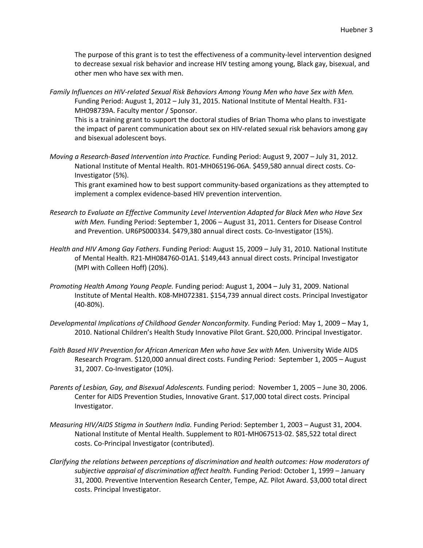The purpose of this grant is to test the effectiveness of a community-level intervention designed to decrease sexual risk behavior and increase HIV testing among young, Black gay, bisexual, and other men who have sex with men.

*Family Influences on HIV-related Sexual Risk Behaviors Among Young Men who have Sex with Men.* Funding Period: August 1, 2012 – July 31, 2015. National Institute of Mental Health. F31- MH098739A. Faculty mentor / Sponsor.

This is a training grant to support the doctoral studies of Brian Thoma who plans to investigate the impact of parent communication about sex on HIV-related sexual risk behaviors among gay and bisexual adolescent boys.

*Moving a Research-Based Intervention into Practice.* Funding Period: August 9, 2007 – July 31, 2012. National Institute of Mental Health. R01-MH065196-06A. \$459,580 annual direct costs. Co-Investigator (5%).

This grant examined how to best support community-based organizations as they attempted to implement a complex evidence-based HIV prevention intervention.

- *Research to Evaluate an Effective Community Level Intervention Adapted for Black Men who Have Sex with Men.* Funding Period: September 1, 2006 – August 31, 2011. Centers for Disease Control and Prevention. UR6PS000334. \$479,380 annual direct costs. Co-Investigator (15%).
- *Health and HIV Among Gay Fathers*. Funding Period: August 15, 2009 July 31, 2010. National Institute of Mental Health. R21-MH084760-01A1. \$149,443 annual direct costs. Principal Investigator (MPI with Colleen Hoff) (20%).
- *Promoting Health Among Young People.* Funding period: August 1, 2004 July 31, 2009. National Institute of Mental Health. K08-MH072381. \$154,739 annual direct costs. Principal Investigator (40-80%).
- *Developmental Implications of Childhood Gender Nonconformity.* Funding Period: May 1, 2009 May 1, 2010. National Children's Health Study Innovative Pilot Grant. \$20,000. Principal Investigator.
- Faith Based HIV Prevention for African American Men who have Sex with Men. University Wide AIDS Research Program. \$120,000 annual direct costs. Funding Period: September 1, 2005 – August 31, 2007. Co-Investigator (10%).
- *Parents of Lesbian, Gay, and Bisexual Adolescents.* Funding period: November 1, 2005 June 30, 2006. Center for AIDS Prevention Studies, Innovative Grant. \$17,000 total direct costs. Principal Investigator.
- *Measuring HIV/AIDS Stigma in Southern India.* Funding Period: September 1, 2003 August 31, 2004. National Institute of Mental Health. Supplement to R01-MH067513-02. \$85,522 total direct costs. Co-Principal Investigator (contributed).
- *Clarifying the relations between perceptions of discrimination and health outcomes: How moderators of subjective appraisal of discrimination affect health.* Funding Period: October 1, 1999 – January 31, 2000. Preventive Intervention Research Center, Tempe, AZ. Pilot Award. \$3,000 total direct costs. Principal Investigator.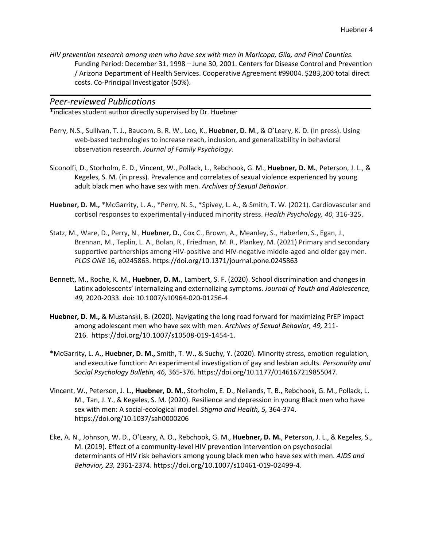*HIV prevention research among men who have sex with men in Maricopa, Gila, and Pinal Counties.* Funding Period: December 31, 1998 – June 30, 2001. Centers for Disease Control and Prevention / Arizona Department of Health Services. Cooperative Agreement #99004. \$283,200 total direct costs. Co-Principal Investigator (50%).

#### *Peer-reviewed Publications*

\*indicates student author directly supervised by Dr. Huebner

- Perry, N.S., Sullivan, T. J., Baucom, B. R. W., Leo, K., **Huebner, D. M**., & O'Leary, K. D. (In press). Using web-based technologies to increase reach, inclusion, and generalizability in behavioral observation research. *Journal of Family Psychology.*
- Siconolfi, D., Storholm, E. D., Vincent, W., Pollack, L., Rebchook, G. M., **Huebner, D. M.**, Peterson, J. L., & Kegeles, S. M. (in press). Prevalence and correlates of sexual violence experienced by young adult black men who have sex with men. *Archives of Sexual Behavior*.
- **Huebner, D. M.,** \*McGarrity, L. A., \*Perry, N. S., \*Spivey, L. A., & Smith, T. W. (2021). Cardiovascular and cortisol responses to experimentally-induced minority stress. *Health Psychology, 40,* 316-325.
- Statz, M., Ware, D., Perry, N., **Huebner, D.**, Cox C., Brown, A., Meanley, S., Haberlen, S., Egan, J., Brennan, M., Teplin, L. A., Bolan, R., Friedman, M. R., Plankey, M. (2021) Primary and secondary supportive partnerships among HIV-positive and HIV-negative middle-aged and older gay men. *PLOS ONE* 16, e0245863. https://doi.org/10.1371/journal.pone.0245863
- Bennett, M., Roche, K. M., **Huebner, D. M.**, Lambert, S. F. (2020). School discrimination and changes in Latinx adolescents' internalizing and externalizing symptoms. *Journal of Youth and Adolescence, 49,* 2020-2033. doi: 10.1007/s10964-020-01256-4
- **Huebner, D. M.,** & Mustanski, B. (2020). Navigating the long road forward for maximizing PrEP impact among adolescent men who have sex with men. *Archives of Sexual Behavior, 49,* 211- 216. https://doi.org/10.1007/s10508-019-1454-1.
- \*McGarrity, L. A., **Huebner, D. M.,** Smith, T. W., & Suchy, Y. (2020). Minority stress, emotion regulation, and executive function: An experimental investigation of gay and lesbian adults. *Personality and Social Psychology Bulletin, 46,* 365-376. https://doi.org/10.1177/0146167219855047.
- Vincent, W., Peterson, J. L., **Huebner, D. M.**, Storholm, E. D., Neilands, T. B., Rebchook, G. M., Pollack, L. M., Tan, J. Y., & Kegeles, S. M. (2020). Resilience and depression in young Black men who have sex with men: A social-ecological model. *Stigma and Health, 5,* 364-374. https://doi.org/10.1037/sah0000206
- Eke, A. N., Johnson, W. D., O'Leary, A. O., Rebchook, G. M., **Huebner, D. M.**, Peterson, J. L., & Kegeles, S., M. (2019). Effect of a community-level HIV prevention intervention on psychosocial determinants of HIV risk behaviors among young black men who have sex with men. *AIDS and Behavior, 23,* 2361-2374. https://doi.org/10.1007/s10461-019-02499-4.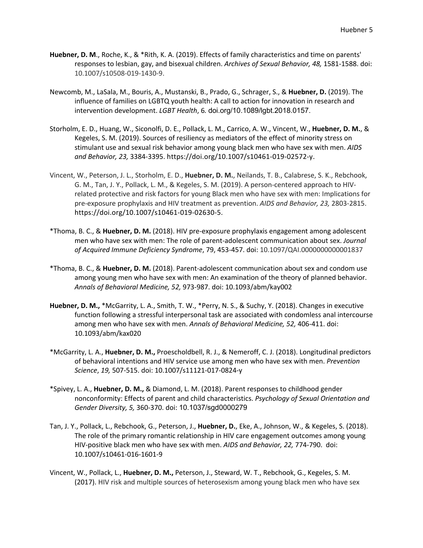- **Huebner, D. M**., Roche, K., & \*Rith, K. A. (2019). Effects of family characteristics and time on parents' responses to lesbian, gay, and bisexual children. *Archives of Sexual Behavior, 48,* 1581-1588. doi: 10.1007/s10508-019-1430-9.
- Newcomb, M., LaSala, M., Bouris, A., Mustanski, B., Prado, G., Schrager, S., & **Huebner, D.** (2019). The influence of families on LGBTQ youth health: A call to action for innovation in research and intervention development. *LGBT Health*, 6*.* doi.org/10.1089/lgbt.2018.0157.
- Storholm, E. D., Huang, W., Siconolfi, D. E., Pollack, L. M., Carrico, A. W., Vincent, W., **Huebner, D. M.**, & Kegeles, S. M. (2019). Sources of resiliency as mediators of the effect of minority stress on stimulant use and sexual risk behavior among young black men who have sex with men. *AIDS and Behavior, 23,* 3384-3395. https://doi.org/10.1007/s10461-019-02572-y.
- Vincent, W., Peterson, J. L., Storholm, E. D., **Huebner, D. M.**, Neilands, T. B., Calabrese, S. K., Rebchook, G. M., Tan, J. Y., Pollack, L. M., & Kegeles, S. M. (2019). A person-centered approach to HIVrelated protective and risk factors for young Black men who have sex with men: Implications for pre-exposure prophylaxis and HIV treatment as prevention. *AIDS and Behavior, 23,* 2803-2815. https://doi.org/10.1007/s10461-019-02630-5.
- \*Thoma, B. C., & **Huebner, D. M.** (2018). HIV pre-exposure prophylaxis engagement among adolescent men who have sex with men: The role of parent-adolescent communication about sex. *Journal of Acquired Immune Deficiency Syndrome*, 79, 453-457. doi: 10.1097/QAI.0000000000001837
- \*Thoma, B. C., & **Huebner, D. M.** (2018). Parent-adolescent communication about sex and condom use among young men who have sex with men: An examination of the theory of planned behavior. *Annals of Behavioral Medicine, 52,* 973-987. doi: 10.1093/abm/kay002
- **Huebner, D. M.,** \*McGarrity, L. A., Smith, T. W., \*Perry, N. S., & Suchy, Y. (2018). Changes in executive function following a stressful interpersonal task are associated with condomless anal intercourse among men who have sex with men. *Annals of Behavioral Medicine, 52,* 406-411. doi: 10.1093/abm/kax020
- \*McGarrity, L. A., **Huebner, D. M.,** Proescholdbell, R. J., & Nemeroff, C. J. (2018). Longitudinal predictors of behavioral intentions and HIV service use among men who have sex with men. *Prevention Science*, *19,* 507-515. doi: 10.1007/s11121-017-0824-y
- \*Spivey, L. A., **Huebner, D. M.,** & Diamond, L. M. (2018). Parent responses to childhood gender nonconformity: Effects of parent and child characteristics. *Psychology of Sexual Orientation and Gender Diversity, 5,* 360-370. doi: 10.1037/sgd0000279
- Tan, J. Y., Pollack, L., Rebchook, G., Peterson, J., **Huebner, D.**, Eke, A., Johnson, W., & Kegeles, S. (2018). The role of the primary romantic relationship in HIV care engagement outcomes among young HIV-positive black men who have sex with men. *AIDS and Behavior, 22,* 774-790. doi: 10.1007/s10461-016-1601-9
- Vincent, W., Pollack, L., **Huebner, D. M.,** Peterson, J., Steward, W. T., Rebchook, G., Kegeles, S. M. (2017). HIV risk and multiple sources of heterosexism among young black men who have sex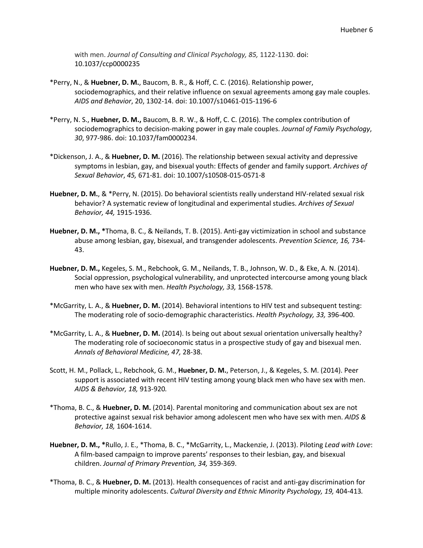with men. *Journal of Consulting and Clinical Psychology, 85,* 1122-1130. doi: 10.1037/ccp0000235

- \*Perry, N., & **Huebner, D. M.**, Baucom, B. R., & Hoff, C. C. (2016). Relationship power, sociodemographics, and their relative influence on sexual agreements among gay male couples. *AIDS and Behavior*, 20, 1302-14. doi: 10.1007/s10461-015-1196-6
- \*Perry, N. S., **Huebner, D. M.,** Baucom, B. R. W., & Hoff, C. C. (2016). The complex contribution of sociodemographics to decision-making power in gay male couples. *Journal of Family Psychology*, *30*, 977-986. doi: 10.1037/fam0000234.
- \*Dickenson, J. A., & **Huebner, D. M.** (2016). The relationship between sexual activity and depressive symptoms in lesbian, gay, and bisexual youth: Effects of gender and family support. *Archives of Sexual Behavior*, *45,* 671-81. doi: 10.1007/s10508-015-0571-8
- **Huebner, D. M.**, & \*Perry, N. (2015). Do behavioral scientists really understand HIV-related sexual risk behavior? A systematic review of longitudinal and experimental studies. *Archives of Sexual Behavior, 44,* 1915-1936.
- **Huebner, D. M., \***Thoma, B. C., & Neilands, T. B. (2015). Anti-gay victimization in school and substance abuse among lesbian, gay, bisexual, and transgender adolescents. *Prevention Science, 16,* 734- 43.
- **Huebner, D. M.,** Kegeles, S. M., Rebchook, G. M., Neilands, T. B., Johnson, W. D., & Eke, A. N. (2014). Social oppression, psychological vulnerability, and unprotected intercourse among young black men who have sex with men. *Health Psychology, 33,* 1568-1578.
- \*McGarrity, L. A., & **Huebner, D. M.** (2014). Behavioral intentions to HIV test and subsequent testing: The moderating role of socio-demographic characteristics. *Health Psychology, 33,* 396-400.
- \*McGarrity, L. A., & **Huebner, D. M.** (2014). Is being out about sexual orientation universally healthy? The moderating role of socioeconomic status in a prospective study of gay and bisexual men. *Annals of Behavioral Medicine, 47,* 28-38.
- Scott, H. M., Pollack, L., Rebchook, G. M., **Huebner, D. M.**, Peterson, J., & Kegeles, S. M. (2014). Peer support is associated with recent HIV testing among young black men who have sex with men. *AIDS & Behavior, 18,* 913-920*.*
- \*Thoma, B. C., & **Huebner, D. M.** (2014). Parental monitoring and communication about sex are not protective against sexual risk behavior among adolescent men who have sex with men. *AIDS & Behavior, 18,* 1604-1614.
- **Huebner, D. M., \***Rullo, J. E., \*Thoma, B. C., \*McGarrity, L., Mackenzie, J. (2013). Piloting *Lead with Love*: A film-based campaign to improve parents' responses to their lesbian, gay, and bisexual children. *Journal of Primary Prevention, 34,* 359-369.
- \*Thoma, B. C., & **Huebner, D. M.** (2013). Health consequences of racist and anti-gay discrimination for multiple minority adolescents. *Cultural Diversity and Ethnic Minority Psychology, 19,* 404-413*.*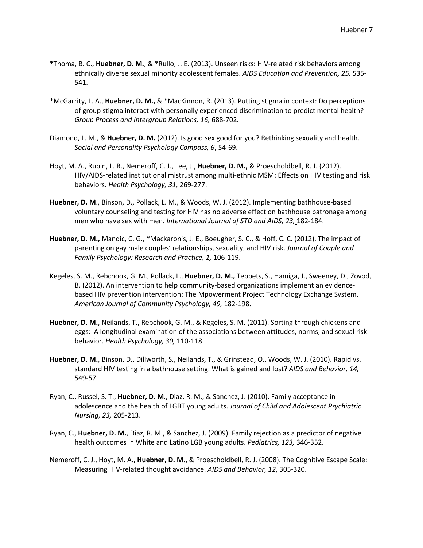- \*Thoma, B. C., **Huebner, D. M.**, & \*Rullo, J. E. (2013). Unseen risks: HIV-related risk behaviors among ethnically diverse sexual minority adolescent females. *AIDS Education and Prevention, 25,* 535- 541.
- \*McGarrity, L. A., **Huebner, D. M.,** & \*MacKinnon, R. (2013). Putting stigma in context: Do perceptions of group stigma interact with personally experienced discrimination to predict mental health? *Group Process and Intergroup Relations, 16,* 688-702*.*
- Diamond, L. M., & **Huebner, D. M.** (2012). Is good sex good for you? Rethinking sexuality and health. *Social and Personality Psychology Compass, 6*, 54-69.
- Hoyt, M. A., Rubin, L. R., Nemeroff, C. J., Lee, J., **Huebner, D. M.,** & Proescholdbell, R. J. (2012). HIV/AIDS-related institutional mistrust among multi-ethnic MSM: Effects on HIV testing and risk behaviors. *Health Psychology, 31,* 269-277.
- **Huebner, D. M**., Binson, D., Pollack, L. M., & Woods, W. J. (2012). Implementing bathhouse-based voluntary counseling and testing for HIV has no adverse effect on bathhouse patronage among men who have sex with men. *International Journal of STD and AIDS, 23,* 182-184.
- **Huebner, D. M.,** Mandic, C. G., \*Mackaronis, J. E., Boeugher, S. C., & Hoff, C. C. (2012). The impact of parenting on gay male couples' relationships, sexuality, and HIV risk. *Journal of Couple and Family Psychology: Research and Practice, 1,* 106-119.
- Kegeles, S. M., Rebchook, G. M., Pollack, L., **Huebner, D. M.,** Tebbets, S., Hamiga, J., Sweeney, D., Zovod, B. (2012). An intervention to help community-based organizations implement an evidencebased HIV prevention intervention: The Mpowerment Project Technology Exchange System. *American Journal of Community Psychology, 49,* 182-198.
- **Huebner, D. M.**, Neilands, T., Rebchook, G. M., & Kegeles, S. M. (2011). Sorting through chickens and eggs: A longitudinal examination of the associations between attitudes, norms, and sexual risk behavior. *Health Psychology, 30,* 110-118.
- **Huebner, D. M.**, Binson, D., Dillworth, S., Neilands, T., & Grinstead, O., Woods, W. J. (2010). Rapid vs. standard HIV testing in a bathhouse setting: What is gained and lost? *AIDS and Behavior, 14,* 549-57.
- Ryan, C., Russel, S. T., **Huebner, D. M**., Diaz, R. M., & Sanchez, J. (2010). Family acceptance in adolescence and the health of LGBT young adults. *Journal of Child and Adolescent Psychiatric Nursing, 23,* 205-213.
- Ryan, C., **Huebner, D. M.**, Diaz, R. M., & Sanchez, J. (2009). Family rejection as a predictor of negative health outcomes in White and Latino LGB young adults. *Pediatrics, 123,* 346-352.
- Nemeroff, C. J., Hoyt, M. A., **Huebner, D. M.**, & Proescholdbell, R. J. (2008). The Cognitive Escape Scale: Measuring HIV-related thought avoidance. *AIDS and Behavior, 12*, 305-320.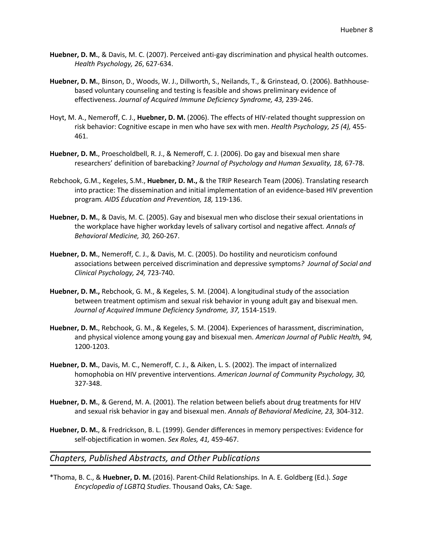- **Huebner, D. M.**, & Davis, M. C. (2007). Perceived anti-gay discrimination and physical health outcomes. *Health Psychology, 26*, 627-634.
- **Huebner, D. M.**, Binson, D., Woods, W. J., Dillworth, S., Neilands, T., & Grinstead, O. (2006). Bathhousebased voluntary counseling and testing is feasible and shows preliminary evidence of effectiveness. *Journal of Acquired Immune Deficiency Syndrome, 43,* 239-246.
- Hoyt, M. A., Nemeroff, C. J., **Huebner, D. M.** (2006). The effects of HIV-related thought suppression on risk behavior: Cognitive escape in men who have sex with men. *Health Psychology, 25 (4),* 455- 461.
- **Huebner, D. M.**, Proescholdbell, R. J., & Nemeroff, C. J. (2006). Do gay and bisexual men share researchers' definition of barebacking? *Journal of Psychology and Human Sexuality, 18,* 67-78.
- Rebchook, G.M., Kegeles, S.M., **Huebner, D. M.,** & the TRIP Research Team (2006). Translating research into practice: The dissemination and initial implementation of an evidence-based HIV prevention program*. AIDS Education and Prevention, 18,* 119-136.
- **Huebner, D. M.**, & Davis, M. C. (2005). Gay and bisexual men who disclose their sexual orientations in the workplace have higher workday levels of salivary cortisol and negative affect*. Annals of Behavioral Medicine, 30,* 260-267.
- **Huebner, D. M.**, Nemeroff, C. J., & Davis, M. C. (2005). Do hostility and neuroticism confound associations between perceived discrimination and depressive symptoms*? Journal of Social and Clinical Psychology, 24,* 723-740.
- **Huebner, D. M.,** Rebchook, G. M., & Kegeles, S. M. (2004). A longitudinal study of the association between treatment optimism and sexual risk behavior in young adult gay and bisexual men. *Journal of Acquired Immune Deficiency Syndrome, 37,* 1514-1519.
- **Huebner, D. M.**, Rebchook, G. M., & Kegeles, S. M. (2004). Experiences of harassment, discrimination, and physical violence among young gay and bisexual men. *American Journal of Public Health, 94,* 1200-1203.
- **Huebner, D. M.**, Davis, M. C., Nemeroff, C. J., & Aiken, L. S. (2002). The impact of internalized homophobia on HIV preventive interventions. *American Journal of Community Psychology, 30,* 327-348.
- **Huebner, D. M.**, & Gerend, M. A. (2001). The relation between beliefs about drug treatments for HIV and sexual risk behavior in gay and bisexual men. *Annals of Behavioral Medicine, 23,* 304-312.
- **Huebner, D. M.**, & Fredrickson, B. L. (1999). Gender differences in memory perspectives: Evidence for self-objectification in women. *Sex Roles, 41,* 459-467.

#### *Chapters, Published Abstracts, and Other Publications*

\*Thoma, B. C., & **Huebner, D. M.** (2016). Parent-Child Relationships. In A. E. Goldberg (Ed.). *Sage Encyclopedia of LGBTQ Studies*. Thousand Oaks, CA: Sage.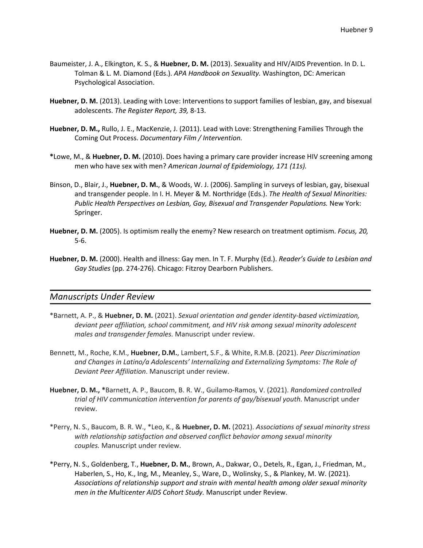- Baumeister, J. A., Elkington, K. S., & **Huebner, D. M.** (2013). Sexuality and HIV/AIDS Prevention. In D. L. Tolman & L. M. Diamond (Eds.). *APA Handbook on Sexuality.* Washington, DC: American Psychological Association.
- **Huebner, D. M.** (2013). Leading with Love: Interventions to support families of lesbian, gay, and bisexual adolescents. *The Register Report, 39,* 8-13.
- **Huebner, D. M.,** Rullo, J. E., MacKenzie, J. (2011). Lead with Love: Strengthening Families Through the Coming Out Process. *Documentary Film / Intervention.*
- **\***Lowe, M., & **Huebner, D. M.** (2010). Does having a primary care provider increase HIV screening among men who have sex with men? *American Journal of Epidemiology, 171 (11s).*
- Binson, D., Blair, J., **Huebner, D. M.**, & Woods, W. J. (2006). Sampling in surveys of lesbian, gay, bisexual and transgender people. In I. H. Meyer & M. Northridge (Eds.). *The Health of Sexual Minorities: Public Health Perspectives on Lesbian, Gay, Bisexual and Transgender Populations.* New York: Springer.
- **Huebner, D. M.** (2005). Is optimism really the enemy? New research on treatment optimism. *Focus, 20,* 5-6.
- **Huebner, D. M.** (2000). Health and illness: Gay men. In T. F. Murphy (Ed.). *Reader's Guide to Lesbian and Gay Studies* (pp. 274-276). Chicago: Fitzroy Dearborn Publishers.

#### *Manuscripts Under Review*

- \*Barnett, A. P., & **Huebner, D. M.** (2021). *Sexual orientation and gender identity-based victimization, deviant peer affiliation, school commitment, and HIV risk among sexual minority adolescent males and transgender females.* Manuscript under review.
- Bennett, M., Roche, K.M., **Huebner, D.M.**, Lambert, S.F., & White, R.M.B. (2021). *Peer Discrimination and Changes in Latino/a Adolescents' Internalizing and Externalizing Symptoms: The Role of Deviant Peer Affiliation*. Manuscript under review.
- **Huebner, D. M., \***Barnett, A. P., Baucom, B. R. W., Guilamo-Ramos, V. (2021). *Randomized controlled trial of HIV communication intervention for parents of gay/bisexual youth*. Manuscript under review.
- \*Perry, N. S., Baucom, B. R. W., \*Leo, K., & **Huebner, D. M.** (2021). *Associations of sexual minority stress with relationship satisfaction and observed conflict behavior among sexual minority couples.* Manuscript under review.
- \*Perry, N. S., Goldenberg, T., **Huebner, D. M.**, Brown, A., Dakwar, O., Detels, R., Egan, J., Friedman, M., Haberlen, S., Ho, K., Ing, M., Meanley, S., Ware, D., Wolinsky, S., & Plankey, M. W. (2021). *Associations of relationship support and strain with mental health among older sexual minority men in the Multicenter AIDS Cohort Study.* Manuscript under Review.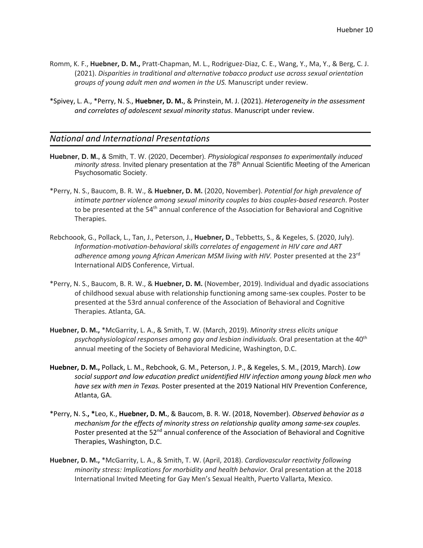- Romm, K. F., **Huebner, D. M.,** Pratt-Chapman, M. L., Rodriguez-Diaz, C. E., Wang, Y., Ma, Y., & Berg, C. J. (2021). *Disparities in traditional and alternative tobacco product use across sexual orientation groups of young adult men and women in the US.* Manuscript under review.
- \*Spivey, L. A., \*Perry, N. S., **Huebner, D. M.**, & Prinstein, M. J. (2021). *Heterogeneity in the assessment and correlates of adolescent sexual minority status*. Manuscript under review.

## *National and International Presentations*

- **Huebner, D. M.,** & Smith, T. W. (2020, December). *Physiological responses to experimentally induced minority stress.* Invited plenary presentation at the 78<sup>th</sup> Annual Scientific Meeting of the American Psychosomatic Society.
- \*Perry, N. S., Baucom, B. R. W., & **Huebner, D. M.** (2020, November). *Potential for high prevalence of intimate partner violence among sexual minority couples to bias couples-based research*. Poster to be presented at the 54<sup>th</sup> annual conference of the Association for Behavioral and Cognitive Therapies.
- Rebchoook, G., Pollack, L., Tan, J., Peterson, J., **Huebner, D**., Tebbetts, S., & Kegeles, S. (2020, July). *Information-motivation-behavioral skills correlates of engagement in HIV care and ART*  adherence among young African American MSM living with HIV. Poster presented at the 23<sup>rd</sup> International AIDS Conference, Virtual.
- \*Perry, N. S., Baucom, B. R. W., & **Huebner, D. M.** (November, 2019). Individual and dyadic associations of childhood sexual abuse with relationship functioning among same-sex couples. Poster to be presented at the 53rd annual conference of the Association of Behavioral and Cognitive Therapies. Atlanta, GA.
- **Huebner, D. M.,** \*McGarrity, L. A., & Smith, T. W. (March, 2019). *Minority stress elicits unique*  psychophysiological responses among gay and lesbian individuals. Oral presentation at the 40<sup>th</sup> annual meeting of the Society of Behavioral Medicine, Washington, D.C.
- **Huebner, D. M.,** Pollack, L. M., Rebchook, G. M., Peterson, J. P., & Kegeles, S. M., (2019, March). *Low social support and low education predict unidentified HIV infection among young black men who have sex with men in Texas.* Poster presented at the 2019 National HIV Prevention Conference, Atlanta, GA.
- \*Perry, N. S.**, \***Leo, K., **Huebner, D. M.**, & Baucom, B. R. W. (2018, November). *Observed behavior as a mechanism for the effects of minority stress on relationship quality among same-sex couples.*  Poster presented at the  $52<sup>nd</sup>$  annual conference of the Association of Behavioral and Cognitive Therapies, Washington, D.C.
- **Huebner, D. M.,** \*McGarrity, L. A., & Smith, T. W. (April, 2018). *Cardiovascular reactivity following minority stress: Implications for morbidity and health behavior.* Oral presentation at the 2018 International Invited Meeting for Gay Men's Sexual Health, Puerto Vallarta, Mexico.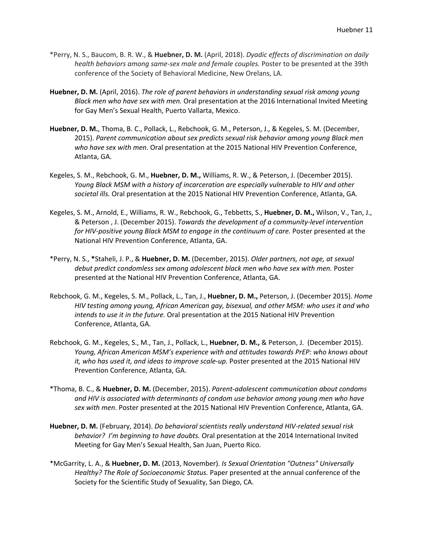- \*Perry, N. S., Baucom, B. R. W., & **Huebner, D. M.** (April, 2018). *Dyadic effects of discrimination on daily health behaviors among same-sex male and female couples.* Poster to be presented at the 39th conference of the Society of Behavioral Medicine, New Orelans, LA.
- **Huebner, D. M.** (April, 2016). *The role of parent behaviors in understanding sexual risk among young Black men who have sex with men.* Oral presentation at the 2016 International Invited Meeting for Gay Men's Sexual Health, Puerto Vallarta, Mexico.
- **Huebner, D. M.**, Thoma, B. C., Pollack, L., Rebchook, G. M., Peterson, J., & Kegeles, S. M. (December, 2015). *Parent communication about sex predicts sexual risk behavior among young Black men who have sex with men*. Oral presentation at the 2015 National HIV Prevention Conference, Atlanta, GA.
- Kegeles, S. M., Rebchook, G. M., **Huebner, D. M.,** Williams, R. W., & Peterson, J. (December 2015). *Young Black MSM with a history of incarceration are especially vulnerable to HIV and other societal ills.* Oral presentation at the 2015 National HIV Prevention Conference, Atlanta, GA.
- Kegeles, S. M., Arnold, E., Williams, R. W., Rebchook, G., Tebbetts, S., **Huebner, D. M.,** Wilson, V., Tan, J., & Peterson , J. (December 2015). *Towards the development of a community-level intervention for HIV-positive young Black MSM to engage in the continuum of care.* Poster presented at the National HIV Prevention Conference, Atlanta, GA.
- \*Perry, N. S., **\***Staheli, J. P., & **Huebner, D. M.** (December, 2015). *Older partners, not age, at sexual debut predict condomless sex among adolescent black men who have sex with men.* Poster presented at the National HIV Prevention Conference, Atlanta, GA.
- Rebchook, G. M., Kegeles, S. M., Pollack, L., Tan, J., **Huebner, D. M.,** Peterson, J. (December 2015). *Home HIV testing among young, African American gay, bisexual, and other MSM: who uses it and who intends to use it in the future.* Oral presentation at the 2015 National HIV Prevention Conference, Atlanta, GA.
- Rebchook, G. M., Kegeles, S., M., Tan, J., Pollack, L., **Huebner, D. M.,** & Peterson, J. (December 2015). *Young, African American MSM's experience with and attitudes towards PrEP: who knows about it, who has used it, and ideas to improve scale-up.* Poster presented at the 2015 National HIV Prevention Conference, Atlanta, GA.
- \*Thoma, B. C., & **Huebner, D. M.** (December, 2015). *Parent-adolescent communication about condoms and HIV is associated with determinants of condom use behavior among young men who have sex with men*. Poster presented at the 2015 National HIV Prevention Conference, Atlanta, GA.
- **Huebner, D. M.** (February, 2014). *Do behavioral scientists really understand HIV-related sexual risk behavior? I'm beginning to have doubts.* Oral presentation at the 2014 International Invited Meeting for Gay Men's Sexual Health, San Juan, Puerto Rico.
- \*McGarrity, L. A., & **Huebner, D. M.** (2013, November). *Is Sexual Orientation "Outness" Universally Healthy? The Role of Socioeconomic Status.* Paper presented at the annual conference of the Society for the Scientific Study of Sexuality, San Diego, CA.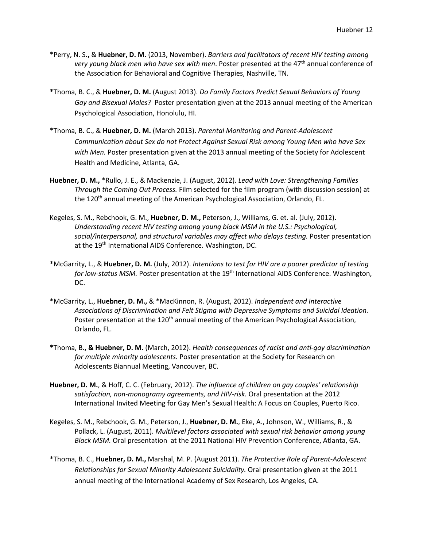- \*Perry, N. S**.,** & **Huebner, D. M.** (2013, November). *Barriers and facilitators of recent HIV testing among*  very young black men who have sex with men. Poster presented at the 47<sup>th</sup> annual conference of the Association for Behavioral and Cognitive Therapies, Nashville, TN.
- **\***Thoma, B. C., & **Huebner, D. M.** (August 2013). *Do Family Factors Predict Sexual Behaviors of Young Gay and Bisexual Males?* Poster presentation given at the 2013 annual meeting of the American Psychological Association, Honolulu, HI.
- \*Thoma, B. C., & **Huebner, D. M.** (March 2013). *Parental Monitoring and Parent-Adolescent Communication about Sex do not Protect Against Sexual Risk among Young Men who have Sex with Men.* Poster presentation given at the 2013 annual meeting of the Society for Adolescent Health and Medicine, Atlanta, GA.
- **Huebner, D. M.,** \*Rullo, J. E., & Mackenzie, J. (August, 2012). *Lead with Love: Strengthening Families Through the Coming Out Process.* Film selected for the film program (with discussion session) at the 120<sup>th</sup> annual meeting of the American Psychological Association, Orlando, FL.
- Kegeles, S. M., Rebchook, G. M., **Huebner, D. M.,** Peterson, J., Williams, G. et. al. (July, 2012). *Understanding recent HIV testing among young black MSM in the U.S.: Psychological, social/interpersonal, and structural variables may affect who delays testing.* Poster presentation at the 19<sup>th</sup> International AIDS Conference. Washington, DC.
- \*McGarrity, L., & **Huebner, D. M.** (July, 2012). *Intentions to test for HIV are a poorer predictor of testing*  for low-status MSM. Poster presentation at the 19<sup>th</sup> International AIDS Conference. Washington, DC.
- \*McGarrity, L., **Huebner, D. M.,** & \*MacKinnon, R. (August, 2012). *Independent and Interactive Associations of Discrimination and Felt Stigma with Depressive Symptoms and Suicidal Ideation.* Poster presentation at the 120<sup>th</sup> annual meeting of the American Psychological Association, Orlando, FL.
- **\***Thoma, B.**, & Huebner, D. M.** (March, 2012). *Health consequences of racist and anti-gay discrimination for multiple minority adolescents.* Poster presentation at the Society for Research on Adolescents Biannual Meeting, Vancouver, BC.
- **Huebner, D. M.**, & Hoff, C. C. (February, 2012). *The influence of children on gay couples' relationship satisfaction, non-monogramy agreements, and HIV-risk.* Oral presentation at the 2012 International Invited Meeting for Gay Men's Sexual Health: A Focus on Couples, Puerto Rico.
- Kegeles, S. M., Rebchook, G. M., Peterson, J., **Huebner, D. M.**, Eke, A., Johnson, W., Williams, R., & Pollack, L. (August, 2011). *Multilevel factors associated with sexual risk behavior among young Black MSM.* Oral presentation at the 2011 National HIV Prevention Conference, Atlanta, GA.
- \*Thoma, B. C., **Huebner, D. M.,** Marshal, M. P. (August 2011). *The Protective Role of Parent-Adolescent Relationships for Sexual Minority Adolescent Suicidality.* Oral presentation given at the 2011 annual meeting of the International Academy of Sex Research, Los Angeles, CA.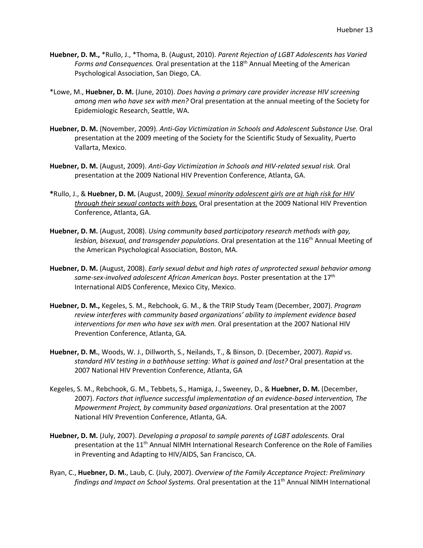- **Huebner, D. M.,** \*Rullo, J., \*Thoma, B. (August, 2010). *Parent Rejection of LGBT Adolescents has Varied Forms and Consequences.* Oral presentation at the 118th Annual Meeting of the American Psychological Association, San Diego, CA.
- \*Lowe, M., **Huebner, D. M.** (June, 2010). *Does having a primary care provider increase HIV screening among men who have sex with men?* Oral presentation at the annual meeting of the Society for Epidemiologic Research, Seattle, WA.
- **Huebner, D. M.** (November, 2009). *Anti-Gay Victimization in Schools and Adolescent Substance Use.* Oral presentation at the 2009 meeting of the Society for the Scientific Study of Sexuality, Puerto Vallarta, Mexico.
- **Huebner, D. M.** (August, 2009). *Anti-Gay Victimization in Schools and HIV-related sexual risk.* Oral presentation at the 2009 National HIV Prevention Conference, Atlanta, GA.
- **\***Rullo, J., & **Huebner, D. M.** (August, 2009*). Sexual minority adolescent girls are at high risk for HIV through their sexual contacts with boys.* Oral presentation at the 2009 National HIV Prevention Conference, Atlanta, GA.
- **Huebner, D. M.** (August, 2008). *Using community based participatory research methods with gay,*  lesbian, bisexual, and transgender populations. Oral presentation at the 116<sup>th</sup> Annual Meeting of the American Psychological Association, Boston, MA.
- **Huebner, D. M.** (August, 2008). *Early sexual debut and high rates of unprotected sexual behavior among same-sex-involved adolescent African American boys.* Poster presentation at the 17th International AIDS Conference, Mexico City, Mexico.
- **Huebner, D. M.,** Kegeles, S. M., Rebchook, G. M., & the TRIP Study Team (December, 2007). *Program review interferes with community based organizations' ability to implement evidence based interventions for men who have sex with men.* Oral presentation at the 2007 National HIV Prevention Conference, Atlanta, GA*.*
- **Huebner, D. M.**, Woods, W. J., Dillworth, S., Neilands, T., & Binson, D. (December, 2007). *Rapid vs. standard HIV testing in a bathhouse setting: What is gained and lost?* Oral presentation at the 2007 National HIV Prevention Conference, Atlanta, GA
- Kegeles, S. M., Rebchook, G. M., Tebbets, S., Hamiga, J., Sweeney, D., & **Huebner, D. M.** (December, 2007). *Factors that influence successful implementation of an evidence-based intervention, The Mpowerment Project, by community based organizations.* Oral presentation at the 2007 National HIV Prevention Conference, Atlanta, GA.
- **Huebner, D. M.** (July, 2007). *Developing a proposal to sample parents of LGBT adolescents.* Oral presentation at the 11<sup>th</sup> Annual NIMH International Research Conference on the Role of Families in Preventing and Adapting to HIV/AIDS, San Francisco, CA.
- Ryan, C., **Huebner, D. M.**, Laub, C. (July, 2007). *Overview of the Family Acceptance Project: Preliminary*  findings and Impact on School Systems. Oral presentation at the 11<sup>th</sup> Annual NIMH International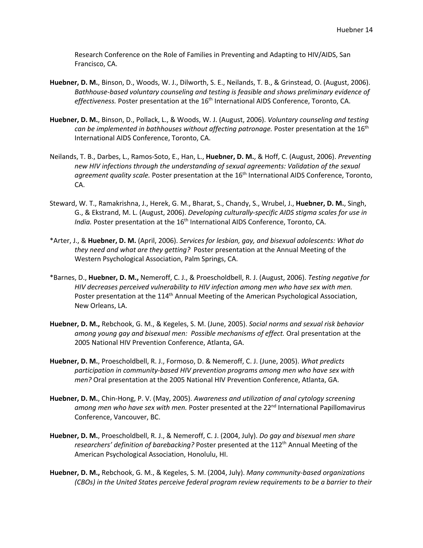Research Conference on the Role of Families in Preventing and Adapting to HIV/AIDS, San Francisco, CA.

- **Huebner, D. M.**, Binson, D., Woods, W. J., Dilworth, S. E., Neilands, T. B., & Grinstead, O. (August, 2006). *Bathhouse-based voluntary counseling and testing is feasible and shows preliminary evidence of*  effectiveness. Poster presentation at the 16<sup>th</sup> International AIDS Conference, Toronto, CA.
- **Huebner, D. M.**, Binson, D., Pollack, L., & Woods, W. J. (August, 2006). *Voluntary counseling and testing*  can be implemented in bathhouses without affecting patronage. Poster presentation at the 16<sup>th</sup> International AIDS Conference, Toronto, CA.
- Neilands, T. B., Darbes, L., Ramos-Soto, E., Han, L., **Huebner, D. M.**, & Hoff, C. (August, 2006). *Preventing new HIV infections through the understanding of sexual agreements: Validation of the sexual*  agreement quality scale. Poster presentation at the 16<sup>th</sup> International AIDS Conference, Toronto, CA.
- Steward, W. T., Ramakrishna, J., Herek, G. M., Bharat, S., Chandy, S., Wrubel, J., **Huebner, D. M.**, Singh, G., & Ekstrand, M. L. (August, 2006). *Developing culturally-specific AIDS stigma scales for use in India.* Poster presentation at the 16<sup>th</sup> International AIDS Conference, Toronto, CA.
- \*Arter, J., & **Huebner, D. M.** (April, 2006). *Services for lesbian, gay, and bisexual adolescents: What do they need and what are they getting?* Poster presentation at the Annual Meeting of the Western Psychological Association, Palm Springs, CA.
- \*Barnes, D., **Huebner, D. M.,** Nemeroff, C. J., & Proescholdbell, R. J. (August, 2006). *Testing negative for HIV decreases perceived vulnerability to HIV infection among men who have sex with men.* Poster presentation at the 114<sup>th</sup> Annual Meeting of the American Psychological Association, New Orleans, LA.
- **Huebner, D. M.,** Rebchook, G. M., & Kegeles, S. M. (June, 2005). *Social norms and sexual risk behavior among young gay and bisexual men: Possible mechanisms of effect.* Oral presentation at the 2005 National HIV Prevention Conference, Atlanta, GA.
- **Huebner, D. M.**, Proescholdbell, R. J., Formoso, D. & Nemeroff, C. J. (June, 2005). *What predicts participation in community-based HIV prevention programs among men who have sex with men?* Oral presentation at the 2005 National HIV Prevention Conference, Atlanta, GA.
- **Huebner, D. M.**, Chin-Hong, P. V. (May, 2005). *Awareness and utilization of anal cytology screening*  among men who have sex with men. Poster presented at the 22<sup>nd</sup> International Papillomavirus Conference, Vancouver, BC.
- **Huebner, D. M.**, Proescholdbell, R. J., & Nemeroff, C. J. (2004, July). *Do gay and bisexual men share*  researchers' definition of barebacking? Poster presented at the 112<sup>th</sup> Annual Meeting of the American Psychological Association, Honolulu, HI.
- **Huebner, D. M.,** Rebchook, G. M., & Kegeles, S. M. (2004, July). *Many community-based organizations (CBOs) in the United States perceive federal program review requirements to be a barrier to their*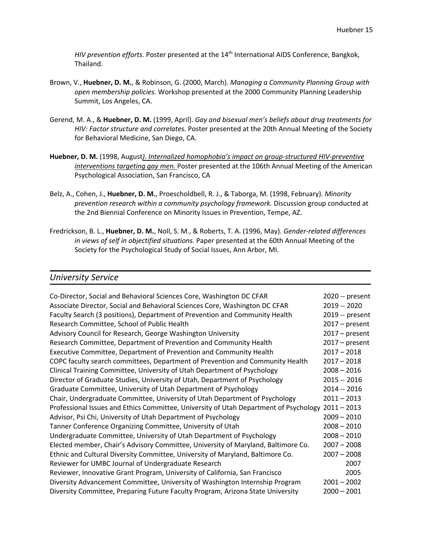*HIV prevention efforts.* Poster presented at the 14<sup>th</sup> International AIDS Conference, Bangkok, Thailand.

- Brown, V., **Huebner, D. M.**, & Robinson, G. (2000, March). *Managing a Community Planning Group with open membership policies.* Workshop presented at the 2000 Community Planning Leadership Summit, Los Angeles, CA.
- Gerend, M. A., & **Huebner, D. M.** (1999, April). *Gay and bisexual men's beliefs about drug treatments for HIV: Factor structure and correlates.* Poster presented at the 20th Annual Meeting of the Society for Behavioral Medicine, San Diego, CA.
- **Huebner, D. M.** (1998, August*). Internalized homophobia's impact on group-structured HIV-preventive interventions targeting gay men.* Poster presented at the 106th Annual Meeting of the American Psychological Association, San Francisco, CA
- Belz, A., Cohen, J., **Huebner, D. M.**, Proescholdbell, R. J., & Taborga, M. (1998, February). *Minority prevention research within a community psychology framework.* Discussion group conducted at the 2nd Biennial Conference on Minority Issues in Prevention, Tempe, AZ.
- Fredrickson, B. L., **Huebner, D. M.**, Noll, S. M., & Roberts, T. A. (1996, May). *Gender-related differences in views of self in objectified situations.* Paper presented at the 60th Annual Meeting of the Society for the Psychological Study of Social Issues, Ann Arbor, MI.

#### *University Service*

| Co-Director, Social and Behavioral Sciences Core, Washington DC CFAR                  | 2020 -- present  |
|---------------------------------------------------------------------------------------|------------------|
| Associate Director, Social and Behavioral Sciences Core, Washington DC CFAR           | 2019 -- 2020     |
| Faculty Search (3 positions), Department of Prevention and Community Health           | 2019 -- present  |
| Research Committee, School of Public Health                                           | $2017$ – present |
| Advisory Council for Research, George Washington University                           | $2017 - present$ |
| Research Committee, Department of Prevention and Community Health                     | $2017$ – present |
| Executive Committee, Department of Prevention and Community Health                    | $2017 - 2018$    |
| COPC faculty search committees, Department of Prevention and Community Health         | $2017 - 2018$    |
| Clinical Training Committee, University of Utah Department of Psychology              | $2008 - 2016$    |
| Director of Graduate Studies, University of Utah, Department of Psychology            | 2015 -- 2016     |
| Graduate Committee, University of Utah Department of Psychology                       | 2014 -- 2016     |
| Chair, Undergraduate Committee, University of Utah Department of Psychology           | $2011 - 2013$    |
| Professional Issues and Ethics Committee, University of Utah Department of Psychology | $2011 - 2013$    |
| Advisor, Psi Chi, University of Utah Department of Psychology                         | $2009 - 2010$    |
| Tanner Conference Organizing Committee, University of Utah                            | $2008 - 2010$    |
| Undergraduate Committee, University of Utah Department of Psychology                  | $2008 - 2010$    |
| Elected member, Chair's Advisory Committee, University of Maryland, Baltimore Co.     | $2007 - 2008$    |
| Ethnic and Cultural Diversity Committee, University of Maryland, Baltimore Co.        | $2007 - 2008$    |
| Reviewer for UMBC Journal of Undergraduate Research                                   | 2007             |
| Reviewer, Innovative Grant Program, University of California, San Francisco           | 2005             |
| Diversity Advancement Committee, University of Washington Internship Program          | $2001 - 2002$    |
| Diversity Committee, Preparing Future Faculty Program, Arizona State University       | $2000 - 2001$    |
|                                                                                       |                  |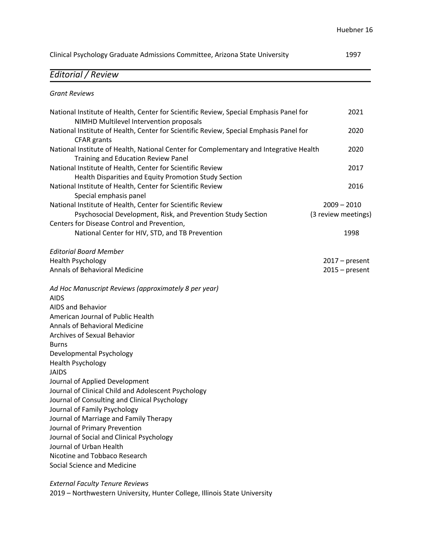| Clinical Psychology Graduate Admissions Committee, Arizona State University                                                                                               |                                      |
|---------------------------------------------------------------------------------------------------------------------------------------------------------------------------|--------------------------------------|
| Editorial / Review                                                                                                                                                        |                                      |
| <b>Grant Reviews</b>                                                                                                                                                      |                                      |
| National Institute of Health, Center for Scientific Review, Special Emphasis Panel for<br>NIMHD Multilevel Intervention proposals                                         | 2021                                 |
| National Institute of Health, Center for Scientific Review, Special Emphasis Panel for<br><b>CFAR</b> grants                                                              | 2020                                 |
| National Institute of Health, National Center for Complementary and Integrative Health<br>Training and Education Review Panel                                             | 2020                                 |
| National Institute of Health, Center for Scientific Review<br>Health Disparities and Equity Promotion Study Section                                                       | 2017                                 |
| National Institute of Health, Center for Scientific Review<br>Special emphasis panel                                                                                      | 2016                                 |
| National Institute of Health, Center for Scientific Review<br>Psychosocial Development, Risk, and Prevention Study Section<br>Centers for Disease Control and Prevention, | $2009 - 2010$<br>(3 review meetings) |
| National Center for HIV, STD, and TB Prevention                                                                                                                           | 1998                                 |
| <b>Editorial Board Member</b><br><b>Health Psychology</b>                                                                                                                 |                                      |
| <b>Annals of Behavioral Medicine</b>                                                                                                                                      | $2017$ – present<br>$2015 - present$ |
| Ad Hoc Manuscript Reviews (approximately 8 per year)<br><b>AIDS</b>                                                                                                       |                                      |
| <b>AIDS and Behavior</b><br>American Journal of Public Health                                                                                                             |                                      |
| Annals of Behavioral Medicine                                                                                                                                             |                                      |
| Archives of Sexual Behavior                                                                                                                                               |                                      |
| <b>Burns</b>                                                                                                                                                              |                                      |
| Developmental Psychology                                                                                                                                                  |                                      |
| Health Psychology<br><b>JAIDS</b>                                                                                                                                         |                                      |
| Journal of Applied Development                                                                                                                                            |                                      |
| Journal of Clinical Child and Adolescent Psychology                                                                                                                       |                                      |
| Journal of Consulting and Clinical Psychology                                                                                                                             |                                      |
| Journal of Family Psychology                                                                                                                                              |                                      |
| Journal of Marriage and Family Therapy<br>Journal of Primary Prevention                                                                                                   |                                      |
| Journal of Social and Clinical Psychology                                                                                                                                 |                                      |
| Journal of Urban Health                                                                                                                                                   |                                      |
| Nicotine and Tobbaco Research                                                                                                                                             |                                      |
| Social Science and Medicine                                                                                                                                               |                                      |
|                                                                                                                                                                           |                                      |

*External Faculty Tenure Reviews* 2019 – Northwestern University, Hunter College, Illinois State University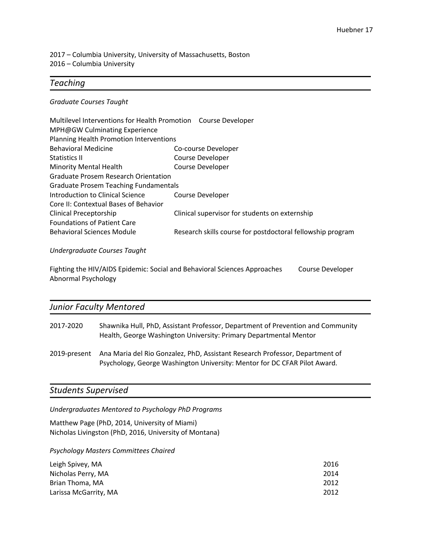2017 – Columbia University, University of Massachusetts, Boston 2016 – Columbia University

### *Teaching*

#### *Graduate Courses Taught*

| Multilevel Interventions for Health Promotion Course Developer |                                                            |
|----------------------------------------------------------------|------------------------------------------------------------|
| MPH@GW Culminating Experience                                  |                                                            |
| Planning Health Promotion Interventions                        |                                                            |
| <b>Behavioral Medicine</b>                                     | Co-course Developer                                        |
| Statistics II                                                  | Course Developer                                           |
| <b>Minority Mental Health</b>                                  | <b>Course Developer</b>                                    |
| <b>Graduate Prosem Research Orientation</b>                    |                                                            |
| <b>Graduate Prosem Teaching Fundamentals</b>                   |                                                            |
| Introduction to Clinical Science                               | Course Developer                                           |
| Core II: Contextual Bases of Behavior                          |                                                            |
| Clinical Preceptorship                                         | Clinical supervisor for students on externship             |
| <b>Foundations of Patient Care</b>                             |                                                            |
| <b>Behavioral Sciences Module</b>                              | Research skills course for postdoctoral fellowship program |
| Undergraduate Courses Taught                                   |                                                            |

Fighting the HIV/AIDS Epidemic: Social and Behavioral Sciences Approaches Course Developer

## *Junior Faculty Mentored*

Abnormal Psychology

| 2017-2020 | Shawnika Hull, PhD, Assistant Professor, Department of Prevention and Community |
|-----------|---------------------------------------------------------------------------------|
|           | Health, George Washington University: Primary Departmental Mentor               |
|           |                                                                                 |

2019-present Ana Maria del Rio Gonzalez, PhD, Assistant Research Professor, Department of Psychology, George Washington University: Mentor for DC CFAR Pilot Award.

## *Students Supervised*

*Undergraduates Mentored to Psychology PhD Programs*

Matthew Page (PhD, 2014, University of Miami) Nicholas Livingston (PhD, 2016, University of Montana)

*Psychology Masters Committees Chaired*

| Leigh Spivey, MA      | 2016 |
|-----------------------|------|
| Nicholas Perry, MA    | 2014 |
| Brian Thoma, MA       | 2012 |
| Larissa McGarrity, MA | 2012 |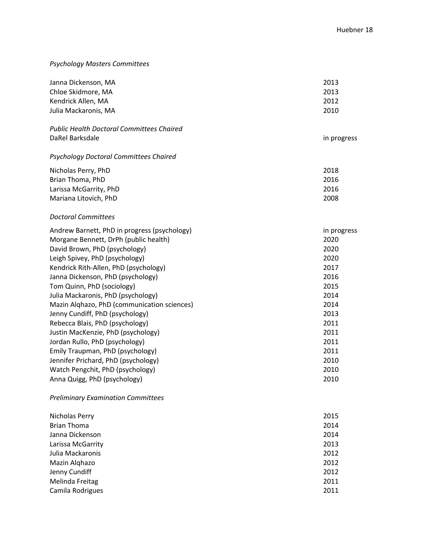## *Psychology Masters Committees*

| Janna Dickenson, MA<br>Chloe Skidmore, MA<br>Kendrick Allen, MA<br>Julia Mackaronis, MA | 2013<br>2013<br>2012<br>2010 |
|-----------------------------------------------------------------------------------------|------------------------------|
| <b>Public Health Doctoral Committees Chaired</b>                                        |                              |
| DaRel Barksdale                                                                         | in progress                  |
| <b>Psychology Doctoral Committees Chaired</b>                                           |                              |
| Nicholas Perry, PhD                                                                     | 2018                         |
| Brian Thoma, PhD                                                                        | 2016                         |
| Larissa McGarrity, PhD                                                                  | 2016                         |
| Mariana Litovich, PhD                                                                   | 2008                         |
| <b>Doctoral Committees</b>                                                              |                              |
| Andrew Barnett, PhD in progress (psychology)                                            | in progress                  |
| Morgane Bennett, DrPh (public health)                                                   | 2020                         |
| David Brown, PhD (psychology)                                                           | 2020                         |
| Leigh Spivey, PhD (psychology)                                                          | 2020                         |
| Kendrick Rith-Allen, PhD (psychology)                                                   | 2017                         |
| Janna Dickenson, PhD (psychology)                                                       | 2016                         |
| Tom Quinn, PhD (sociology)                                                              | 2015                         |
| Julia Mackaronis, PhD (psychology)                                                      | 2014                         |
| Mazin Alghazo, PhD (communication sciences)                                             | 2014                         |
| Jenny Cundiff, PhD (psychology)                                                         | 2013                         |
| Rebecca Blais, PhD (psychology)                                                         | 2011                         |
| Justin MacKenzie, PhD (psychology)                                                      | 2011                         |
| Jordan Rullo, PhD (psychology)                                                          | 2011                         |
| Emily Traupman, PhD (psychology)                                                        | 2011                         |
| Jennifer Prichard, PhD (psychology)                                                     | 2010                         |
| Watch Pengchit, PhD (psychology)                                                        | 2010                         |
| Anna Quigg, PhD (psychology)                                                            | 2010                         |
| <b>Preliminary Examination Committees</b>                                               |                              |

| Nicholas Perry     | 2015 |
|--------------------|------|
| <b>Brian Thoma</b> | 2014 |
| Janna Dickenson    | 2014 |
| Larissa McGarrity  | 2013 |
| Julia Mackaronis   | 2012 |
| Mazin Alghazo      | 2012 |
| Jenny Cundiff      | 2012 |
| Melinda Freitag    | 2011 |
| Camila Rodrigues   | 2011 |
|                    |      |